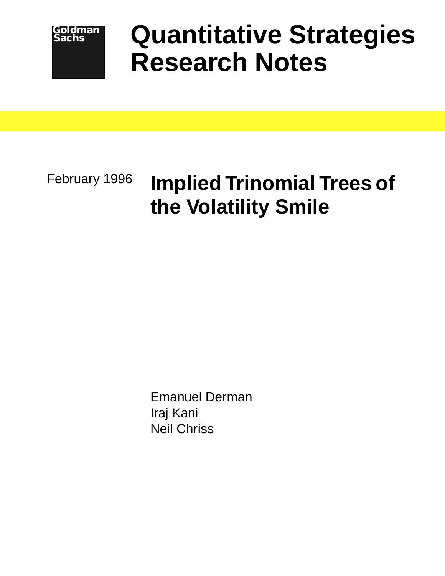

# **Quantitative Strategies Research Notes**

February 1996

# **Implied Trinomial Trees of the Volatility Smile**

Emanuel Derman Iraj Kani Neil Chriss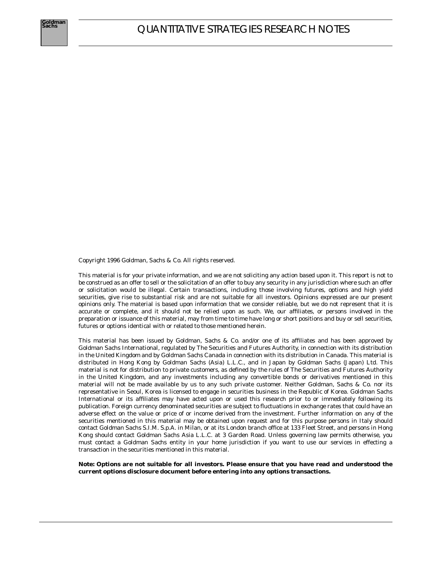Copyright 1996 Goldman, Sachs & Co. All rights reserved.

This material is for your private information, and we are not soliciting any action based upon it. This report is not to be construed as an offer to sell or the solicitation of an offer to buy any security in any jurisdiction where such an offer or solicitation would be illegal. Certain transactions, including those involving futures, options and high yield securities, give rise to substantial risk and are not suitable for all investors. Opinions expressed are our present opinions only. The material is based upon information that we consider reliable, but we do not represent that it is accurate or complete, and it should not be relied upon as such. We, our affiliates, or persons involved in the preparation or issuance of this material, may from time to time have long or short positions and buy or sell securities, futures or options identical with or related to those mentioned herein.

This material has been issued by Goldman, Sachs & Co. and/or one of its affiliates and has been approved by Goldman Sachs International, regulated by The Securities and Futures Authority, in connection with its distribution in the United Kingdom and by Goldman Sachs Canada in connection with its distribution in Canada. This material is distributed in Hong Kong by Goldman Sachs (Asia) L.L.C., and in Japan by Goldman Sachs (Japan) Ltd. This material is not for distribution to private customers, as defined by the rules of The Securities and Futures Authority in the United Kingdom, and any investments including any convertible bonds or derivatives mentioned in this material will not be made available by us to any such private customer. Neither Goldman, Sachs & Co. nor its representative in Seoul, Korea is licensed to engage in securities business in the Republic of Korea. Goldman Sachs International or its affiliates may have acted upon or used this research prior to or immediately following its publication. Foreign currency denominated securities are subject to fluctuations in exchange rates that could have an adverse effect on the value or price of or income derived from the investment. Further information on any of the securities mentioned in this material may be obtained upon request and for this purpose persons in Italy should contact Goldman Sachs S.I.M. S.p.A. in Milan, or at its London branch office at 133 Fleet Street, and persons in Hong Kong should contact Goldman Sachs Asia L.L.C. at 3 Garden Road. Unless governing law permits otherwise, you must contact a Goldman Sachs entity in your home jurisdiction if you want to use our services in effecting a transaction in the securities mentioned in this material.

**Note: Options are not suitable for all investors. Please ensure that you have read and understood the current options disclosure document before entering into any options transactions.**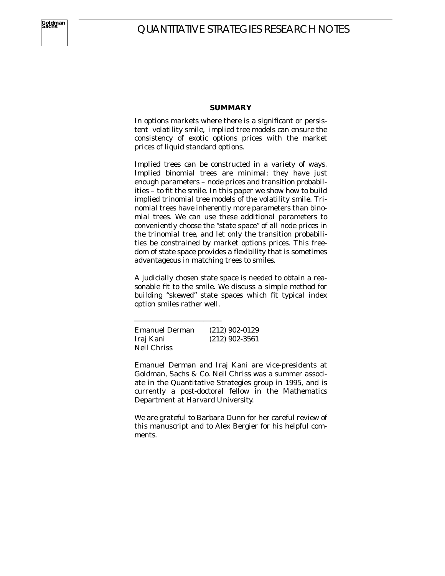#### **SUMMARY**

In options markets where there is a significant or persistent volatility smile, implied tree models can ensure the consistency of exotic options prices with the market prices of liquid standard options.

Implied trees can be constructed in a variety of ways. Implied binomial trees are minimal: they have just enough parameters – node prices and transition probabilities – to fit the smile. In this paper we show how to build implied trinomial tree models of the volatility smile. Trinomial trees have inherently more parameters than binomial trees. We can use these additional parameters to conveniently choose the "state space" of all node prices in the trinomial tree, and let only the transition probabilities be constrained by market options prices. This freedom of state space provides a flexibility that is sometimes advantageous in matching trees to smiles.

A judicially chosen state space is needed to obtain a reasonable fit to the smile. We discuss a simple method for building "skewed" state spaces which fit typical index option smiles rather well.

Emanuel Derman (212) 902-0129 Iraj Kani (212) 902-3561 Neil Chriss

\_\_\_\_\_\_\_\_\_\_\_\_\_\_\_\_\_\_\_\_\_\_\_\_

Emanuel Derman and Iraj Kani are vice-presidents at Goldman, Sachs & Co. Neil Chriss was a summer associate in the Quantitative Strategies group in 1995, and is currently a post-doctoral fellow in the Mathematics Department at Harvard University.

We are grateful to Barbara Dunn for her careful review of this manuscript and to Alex Bergier for his helpful comments.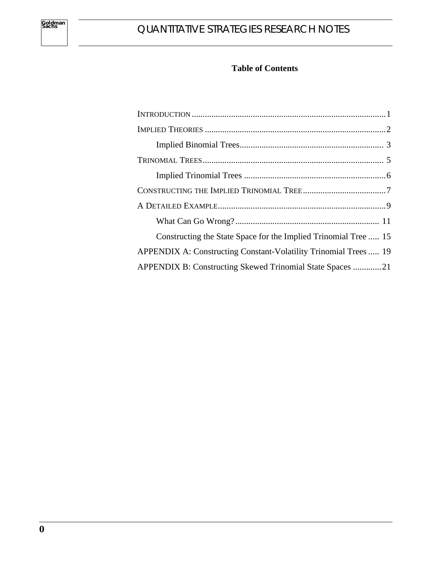## **Table of Contents**

| Constructing the State Space for the Implied Trinomial Tree  15  |
|------------------------------------------------------------------|
| APPENDIX A: Constructing Constant-Volatility Trinomial Trees  19 |
| APPENDIX B: Constructing Skewed Trinomial State Spaces 21        |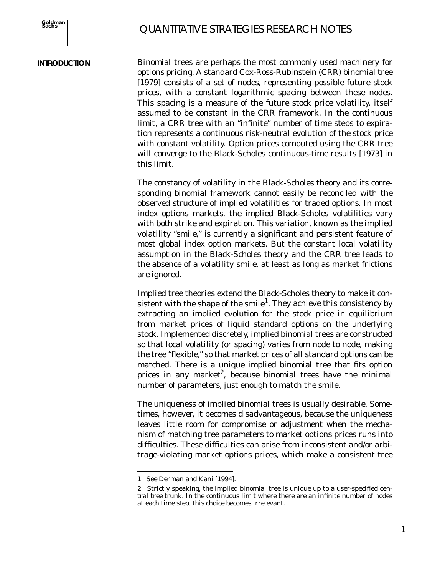#### **INTRODUCTION**

Binomial trees are perhaps the most commonly used machinery for options pricing. A standard Cox-Ross-Rubinstein (CRR) binomial tree [1979] consists of a set of nodes, representing possible future stock prices, with a constant logarithmic spacing between these nodes. This spacing is a measure of the future stock price volatility, itself assumed to be constant in the CRR framework. In the continuous limit, a CRR tree with an "infinite" number of time steps to expiration represents a continuous risk-neutral evolution of the stock price with constant volatility. Option prices computed using the CRR tree will converge to the Black-Scholes continuous-time results [1973] in this limit.

The constancy of volatility in the Black-Scholes theory and its corresponding binomial framework cannot easily be reconciled with the observed structure of implied volatilities for traded options. In most index options markets, the implied Black-Scholes volatilities vary with both strike and expiration. This variation, known as the implied volatility "smile," is currently a significant and persistent feature of most global index option markets. But the constant local volatility assumption in the Black-Scholes theory and the CRR tree leads to the absence of a volatility smile, at least as long as market frictions are ignored.

Implied tree theories extend the Black-Scholes theory to make it consistent with the shape of the smile<sup>1</sup>. They achieve this consistency by extracting an implied evolution for the stock price in equilibrium from market prices of liquid standard options on the underlying stock. Implemented discretely, implied binomial trees are constructed so that local volatility (or spacing) varies from node to node, making the tree "flexible," so that market prices of all standard options can be matched. There is a unique implied binomial tree that fits option prices in any market<sup>2</sup>, because binomial trees have the minimal number of parameters, just enough to match the smile.

The uniqueness of implied binomial trees is usually desirable. Sometimes, however, it becomes disadvantageous, because the uniqueness leaves little room for compromise or adjustment when the mechanism of matching tree parameters to market options prices runs into difficulties. These difficulties can arise from inconsistent and/or arbitrage-violating market options prices, which make a consistent tree

<sup>1.</sup> See Derman and Kani [1994].

<sup>2.</sup> Strictly speaking, the implied binomial tree is unique up to a user-specified central tree trunk. In the continuous limit where there are an infinite number of nodes at each time step, this choice becomes irrelevant.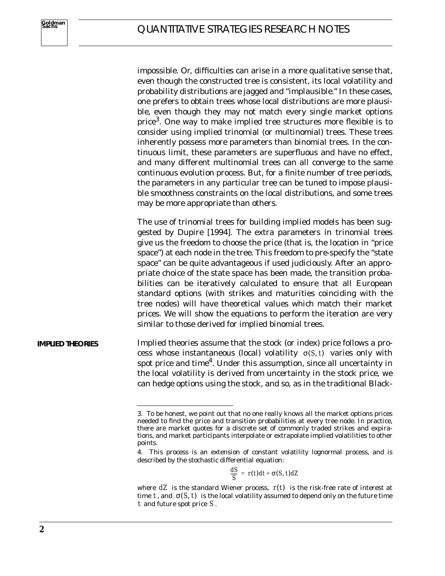impossible. Or, difficulties can arise in a more qualitative sense that, even though the constructed tree is consistent, its local volatility and probability distributions are jagged and "implausible." In these cases, one prefers to obtain trees whose local distributions are more plausible, even though they may not match every single market options price<sup>3</sup>. One way to make implied tree structures more flexible is to consider using implied trinomial (or multinomial) trees. These trees inherently possess more parameters than binomial trees. In the continuous limit, these parameters are superfluous and have no effect, and many different multinomial trees can all converge to the same continuous evolution process. But, for a finite number of tree periods, the parameters in any particular tree can be tuned to impose plausible smoothness constraints on the local distributions, and some trees may be more appropriate than others.

The use of trinomial trees for building implied models has been suggested by Dupire [1994]. The extra parameters in trinomial trees give us the freedom to choose the price (that is, the location in "price space") at each node in the tree. This freedom to pre-specify the "state space" can be quite advantageous if used judiciously. After an appropriate choice of the state space has been made, the transition probabilities can be iteratively calculated to ensure that all European standard options (with strikes and maturities coinciding with the tree nodes) will have theoretical values which match their market prices. We will show the equations to perform the iteration are very similar to those derived for implied binomial trees.

Implied theories assume that the stock (or index) price follows a process whose instantaneous (local) volatility  $\sigma(S, t)$  varies only with spot price and time<sup>4</sup>. Under this assumption, since all uncertainty in the local volatility is derived from uncertainty in the stock price, we can hedge options using the stock, and so, as in the traditional Black-**IMPLIED THEORIES**

$$
\frac{dS}{S} = r(t)dt + \sigma(S, t)dZ
$$

<sup>3.</sup> To be honest, we point out that no one really knows all the market options prices needed to find the price and transition probabilities at every tree node. In practice, there are market quotes for a discrete set of commonly traded strikes and expirations, and market participants interpolate or extrapolate implied volatilities to other points.

<sup>4.</sup> This process is an extension of constant volatility lognormal process, and is described by the stochastic differential equation:

where  $dZ$  is the standard Wiener process,  $\;$   $\;$   $\;$   $\;$   $\;$  the risk-free rate of interest at time  $t$ , and  $\sigma(S, t)$  is the local volatility assumed to depend only on the future time  $t$  and future spot price  $S$ .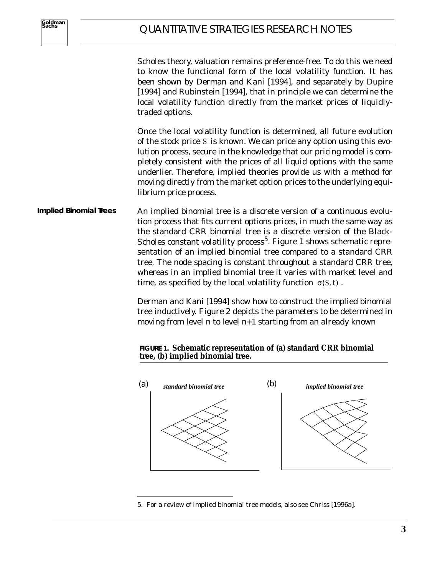Scholes theory, valuation remains preference-free. To do this we need to know the functional form of the local volatility function. It has been shown by Derman and Kani [1994], and separately by Dupire [1994] and Rubinstein [1994], that in principle we can determine the local volatility function directly from the market prices of liquidlytraded options.

Once the local volatility function is determined, all future evolution of the stock price S is known. We can price any option using this evolution process, secure in the knowledge that our pricing model is completely consistent with the prices of all liquid options with the same underlier. Therefore, implied theories provide us with a method for moving directly from the market option prices to the underlying equilibrium price process.

An implied binomial tree is a discrete version of a continuous evolution process that fits current options prices, in much the same way as the standard CRR binomial tree is a discrete version of the Black-Scholes constant volatility process<sup>5</sup>. Figure 1 shows schematic representation of an implied binomial tree compared to a standard CRR tree. The node spacing is constant throughout a standard CRR tree, whereas in an implied binomial tree it varies with market level and time, as specified by the local volatility function  $\sigma(S, t)$ . **Implied Binomial Trees**

> Derman and Kani [1994] show how to construct the implied binomial tree inductively. Figure 2 depicts the parameters to be determined in moving from level *n* to level *n+1* starting from an already known

#### **FIGURE 1. Schematic representation of (a) standard CRR binomial tree, (b) implied binomial tree.**



<sup>5.</sup> For a review of implied binomial tree models, also see Chriss [1996a].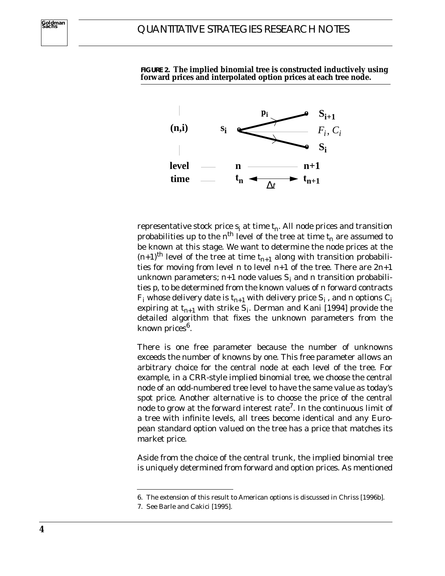

**FIGURE 2. The implied binomial tree is constructed inductively using forward prices and interpolated option prices at each tree node.**

representative stock price  $s_i$  at time  $t_n$ . All node prices and transition probabilities up to the  $n^{th}$  level of the tree at time  $t_n$  are assumed to be known at this stage. We want to determine the node prices at the  $(n+1)$ <sup>th</sup> level of the tree at time  $t_{n+1}$  along with transition probabilities for moving from level *n* to level *n+1* of the tree. There are *2n+1* unknown parameters;  $n+1$  node values  $S_i$  and  $n$  transition probabilities *p*, to be determined from the known values of *n* forward contracts  $F_i$  whose delivery date is  $t_{n+1}$  with delivery price  $S_i$ , and *n* options  $C_i$ expiring at  $t_{n+1}$  with strike  $S_i$ . Derman and Kani [1994] provide the detailed algorithm that fixes the unknown parameters from the known prices<sup>6</sup>.

There is one free parameter because the number of unknowns exceeds the number of knowns by one. This free parameter allows an arbitrary choice for the central node at each level of the tree. For example, in a CRR-style implied binomial tree, we choose the central node of an odd-numbered tree level to have the same value as today's spot price. Another alternative is to choose the price of the central node to grow at the forward interest rate<sup>7</sup>. In the continuous limit of a tree with infinite levels, all trees become identical and any European standard option valued on the tree has a price that matches its market price.

Aside from the choice of the central trunk, the implied binomial tree is uniquely determined from forward and option prices. As mentioned

<sup>6.</sup> The extension of this result to American options is discussed in Chriss [1996b].

<sup>7.</sup> See Barle and Cakici [1995].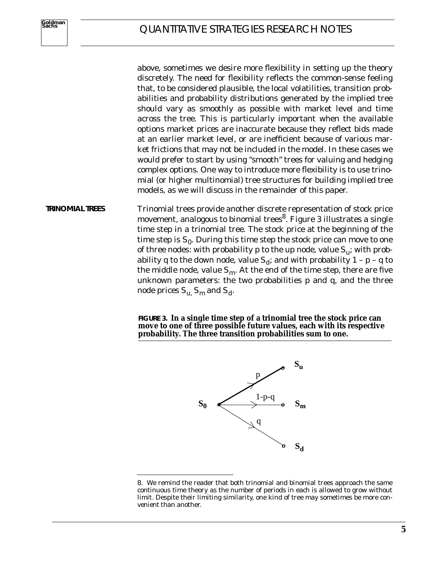above, sometimes we desire more flexibility in setting up the theory discretely. The need for flexibility reflects the common-sense feeling that, to be considered plausible, the local volatilities, transition probabilities and probability distributions generated by the implied tree should vary as smoothly as possible with market level and time across the tree. This is particularly important when the available options market prices are inaccurate because they reflect bids made at an earlier market level, or are inefficient because of various market frictions that may not be included in the model. In these cases we would prefer to start by using "smooth" trees for valuing and hedging complex options. One way to introduce more flexibility is to use trinomial (or higher multinomial) tree structures for building implied tree models, as we will discuss in the remainder of this paper.

Trinomial trees provide another discrete representation of stock price movement, analogous to binomial trees<sup>8</sup>. Figure 3 illustrates a single time step in a trinomial tree. The stock price at the beginning of the time step is  $S_{\theta}$ . During this time step the stock price can move to one of three nodes: with probability  $p$  to the  $up$  node, value  $S_{ij}$ ; with probability *q* to the *down* node, value  $S_d$ ; and with probability  $1 - p - q$  to the middle node, value  $S_{m}$ . At the end of the time step, there are five unknown parameters: the two probabilities *p* and *q,* and the three node prices  $S_u$ ,  $S_m$  and  $S_d$ . **TRINOMIAL TREES**

> **FIGURE 3. In a single time step of a trinomial tree the stock price can move to one of three possible future values, each with its respective probability. The three transition probabilities sum to one.**



<sup>8.</sup> We remind the reader that both trinomial and binomial trees approach the same continuous time theory as the number of periods in each is allowed to grow without limit. Despite their limiting similarity, one kind of tree may sometimes be more *convenient* than another.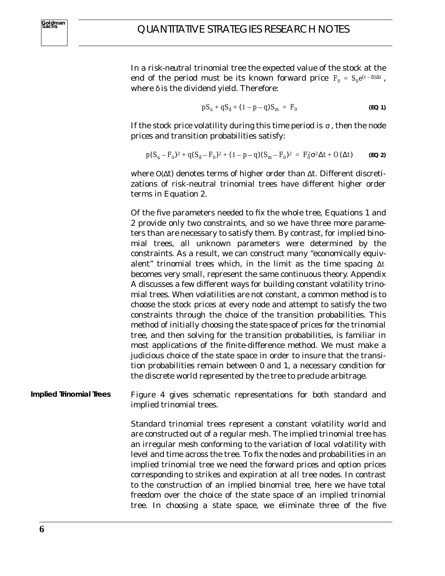In a *risk-neutral* trinomial tree the expected value of the stock at the end of the period must be its known forward price  $F_0 = S_0 e^{(r-\delta)\Delta t}$ , where  $\delta$  is the dividend yield. Therefore:

$$
pS_u + qS_d + (1 - p - q)S_m = F_0
$$
 (EQ1)

If the stock price volatility during this time period is  $\sigma$  , then the node prices and transition probabilities satisfy:

$$
p(S_u - F_0)^2 + q(S_d - F_0)^2 + (1 - p - q)(S_m - F_0)^2 = F_0^2 \sigma^2 \Delta t + O(\Delta t)
$$
 (EQ 2)

where  $O(\Delta t)$  denotes terms of higher order than  $\Delta t$ . Different discretizations of risk-neutral trinomial trees have different higher order terms in Equation 2.

Of the five parameters needed to fix the whole tree, Equations 1 and 2 provide only two constraints, and so we have three more parameters than are necessary to satisfy them. By contrast, for implied binomial trees, all unknown parameters were determined by the constraints. As a result, we can construct many "economically equivalent" trinomial trees which, in the limit as the time spacing ∆*t* becomes very small, represent the same continuous theory. Appendix A discusses a few different ways for building constant volatility trinomial trees. When volatilities are not constant, a common method is to choose the stock prices at every node and attempt to satisfy the two constraints through the choice of the transition probabilities. This method of initially choosing the *state space* of prices for the trinomial tree, and then solving for the transition probabilities, is familiar in most applications of the finite-difference method. We must make a judicious choice of the state space in order to insure that the transition probabilities remain between *0* and *1*, a necessary condition for the discrete world represented by the tree to preclude arbitrage.

Figure 4 gives schematic representations for both standard and implied trinomial trees. **Implied Trinomial Trees**

> Standard trinomial trees represent a constant volatility world and are constructed out of a regular mesh. The implied trinomial tree has an irregular mesh conforming to the variation of local volatility with level and time across the tree. To fix the nodes and probabilities in an implied trinomial tree we need the forward prices and option prices corresponding to strikes and expiration at all tree nodes. In contrast to the construction of an implied binomial tree, here we have total freedom over the choice of the state space of an implied trinomial tree. In choosing a state space, we eliminate three of the five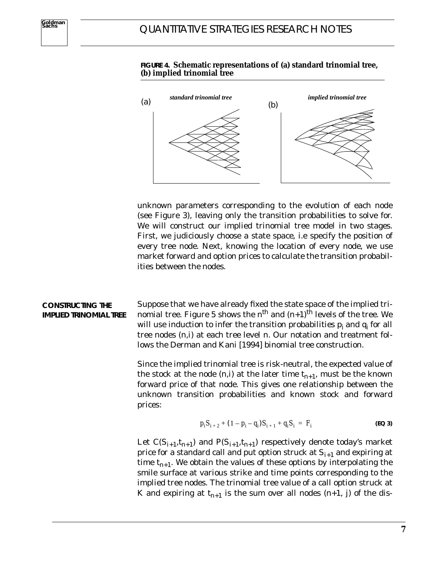



unknown parameters corresponding to the evolution of each node (see Figure 3), leaving only the transition probabilities to solve for. We will construct our implied trinomial tree model in two stages. First, we judiciously choose a state space, i.e specify the position of every tree node. Next, knowing the location of every node, we use market forward and option prices to calculate the transition probabilities between the nodes.

Suppose that we have already fixed the state space of the implied trinomial tree. Figure 5 shows the  $n^{th}$  and  $(n+1)^{th}$  levels of the tree. We will use induction to infer the transition probabilities  $p_i$  and  $q_i$  for all tree nodes *(n,i)* at each tree level *n*. Our notation and treatment follows the Derman and Kani [1994] binomial tree construction. **CONSTRUCTING THE IMPLIED TRINOMIAL TREE**

> Since the implied trinomial tree is risk-neutral, the expected value of the stock at the node  $(n,i)$  at the later time  $t_{n+1}$ , must be the known forward price of that node. This gives one relationship between the unknown transition probabilities and known stock and forward prices:

$$
p_i S_{i+2} + (1 - p_i - q_i) S_{i+1} + q_i S_i = F_i
$$
 (EQ3)

Let  $C(S_{i+1}, t_{n+1})$  and  $P(S_{i+1}, t_{n+1})$  respectively denote today's market price for a standard call and put option struck at  $S_{i+1}$  and expiring at time  $t_{n+1}$ . We obtain the values of these options by interpolating the smile surface at various strike and time points corresponding to the implied tree nodes. The trinomial tree value of a call option struck at *K* and expiring at  $t_{n+1}$  is the sum over all nodes  $(n+1, j)$  of the dis-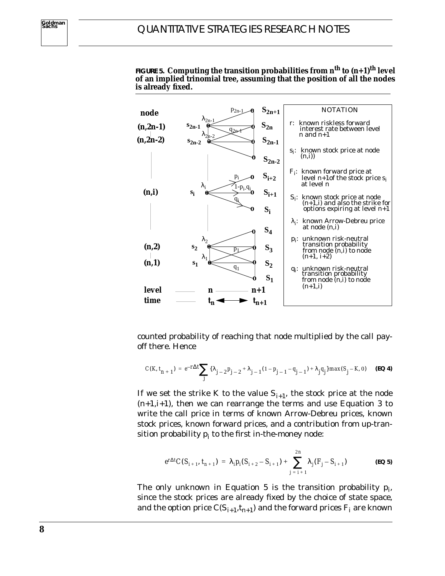

**FIGURE 5. Computing the transition probabilities from n<sup>th</sup> to**  $(n+1)$ **<sup>th</sup> level of an implied trinomial tree, assuming that the position of all the nodes is already fixed.**

counted probability of reaching that node multiplied by the call payoff there. Hence

$$
C(K, t_{n+1}) = e^{-r\Delta t} \sum_{j} {\lambda_{j-2} p_{j-2} + \lambda_{j-1} (1 - p_{j-1} - q_{j-1}) + \lambda_j q_j} \max(S_j - K, 0)
$$
 (EQ4)

If we set the strike *K* to the value  $S_{i+1}$ , the stock price at the node *(n+1,i+1)*, then we can rearrange the terms and use Equation 3 to write the call price in terms of known Arrow-Debreu prices, known stock prices, known forward prices, and a contribution from up-transition probability  $p_i$  to the first in-the-money node:

$$
e^{r\Delta t}C(S_{i+1}, t_{n+1}) = \lambda_i p_i(S_{i+2} - S_{i+1}) + \sum_{j=i+1}^{2n} \lambda_j (F_j - S_{i+1})
$$
 (EQ5)

The only unknown in Equation 5 is the transition probability  $p_i$ , since the stock prices are already fixed by the choice of state space, and the option price  $C(S_{i+1}, t_{n+1})$  and the forward prices  $F_i$  are known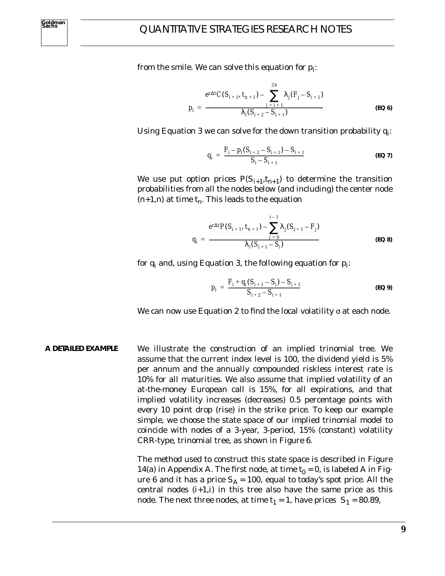from the smile. We can solve this equation for  $p_i$ :

$$
p_{i} = \frac{e^{r\Delta t}C(S_{i+1}, t_{n+1}) - \sum_{j=i+1}^{2n} \lambda_{j}(F_{j} - S_{i+1})}{\lambda_{i}(S_{i+2} - S_{i+1})}
$$
(EQ 6)

Using Equation 3 we can solve for the down transition probability  $q_i$ :

$$
q_{i} = \frac{F_{i} - p_{i}(S_{i+2} - S_{i+1}) - S_{i+1}}{S_{i} - S_{i+1}}
$$
 (EQ7)

We use put option prices  $P(S_{i+1}, t_{n+1})$  to determine the transition probabilities from all the nodes below (and including) the center node  $(n+1,n)$  at time  $t_n$ . This leads to the equation

$$
q_{i} = \frac{e^{r\Delta t}P(S_{i+1}, t_{n+1}) - \sum_{j=0}^{i-1} \lambda_{j}(S_{i+1} - F_{j})}{\lambda_{i}(S_{i+1} - S_{i})}
$$
(EQ 8)

for  $q_i$  and, using Equation 3, the following equation for  $p_i$ :

$$
p_{i} = \frac{F_{i} + q_{i}(S_{i+1} - S_{i}) - S_{i+1}}{S_{i+2} - S_{i+1}}
$$
(EQ 9)

We can now use Equation 2 to find the local volatility  $\sigma$  at each node.

We illustrate the construction of an implied trinomial tree. We assume that the current index level is 100, the dividend yield is 5% per annum and the annually compounded riskless interest rate is 10% for all maturities. We also assume that implied volatility of an at-the-money European call is 15%, for all expirations, and that implied volatility increases (decreases) 0.5 percentage points with every 10 point drop (rise) in the strike price. To keep our example simple, we choose the state space of our implied trinomial model to coincide with nodes of a 3-year, 3-period, 15% (constant) volatility CRR-type, trinomial tree, as shown in Figure 6. **A DETAILED EXAMPLE**

> The method used to construct this state space is described in Figure 14(a) in Appendix A. The first node, at time  $t_0 = 0$ , is labeled A in Figure 6 and it has a price  $S_A = 100$ , equal to today's spot price. All the central nodes  $(i+1,i)$  in this tree also have the same price as this node. The next three nodes, at time  $t_1 = 1$ , have prices  $S_1 = 80.89$ ,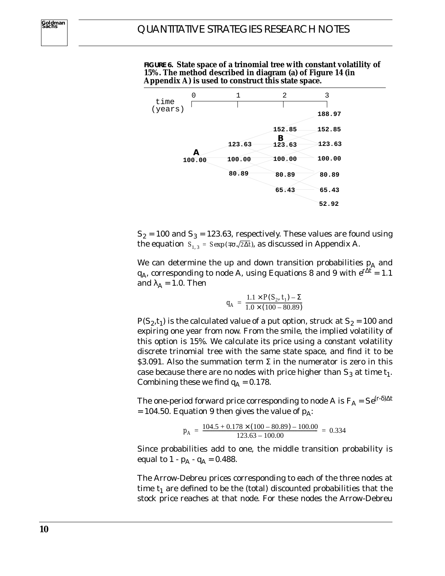

**FIGURE 6. State space of a trinomial tree with constant volatility of 15%. The method described in diagram (a) of Figure 14 (in Appendix A) is used to construct this state space.**

 $S_2$  = 100 and  $S_3$  = 123.63, respectively. These values are found using the equation  $S_{1,3}$  =  $Sexp(πσ \sqrt{2Δt})$ , as discussed in Appendix A.

We can determine the up and down transition probabilities  $p_A$  and *q*<sub>*A*</sub>, corresponding to node A, using Equations 8 and 9 with  $e^{t\Delta t} = 1.1$ and  $\lambda_A = 1.0$ . Then

$$
q_A = \frac{1.1 \times P(S_2, t_1) - \Sigma}{1.0 \times (100 - 80.89)}
$$

 $P(S_2, t_1)$  is the calculated value of a put option, struck at  $S_2 = 100$  and expiring one year from now. From the smile, the implied volatility of this option is 15%. We calculate its price using a constant volatility discrete trinomial tree with the same state space, and find it to be  $$3.091$ . Also the summation term  $\Sigma$  in the numerator is zero in this case because there are no nodes with price higher than  $S_3$  at time  $t_1$ . Combining these we find  $q_A = 0.178$ .

The one-period forward price corresponding to node A is  $F_A = Se^{(r-\delta)\Delta t}$  $= 104.50$ . Equation 9 then gives the value of  $p_A$ :

$$
p_A = \frac{104.5 + 0.178 \times (100 - 80.89) - 100.00}{123.63 - 100.00} = 0.334
$$

Since probabilities add to one, the middle transition probability is equal to  $1 - p_A - q_A = 0.488$ .

The Arrow-Debreu prices corresponding to each of the three nodes at time  $t_1$  are defined to be the (total) discounted probabilities that the stock price reaches at that node. For these nodes the Arrow-Debreu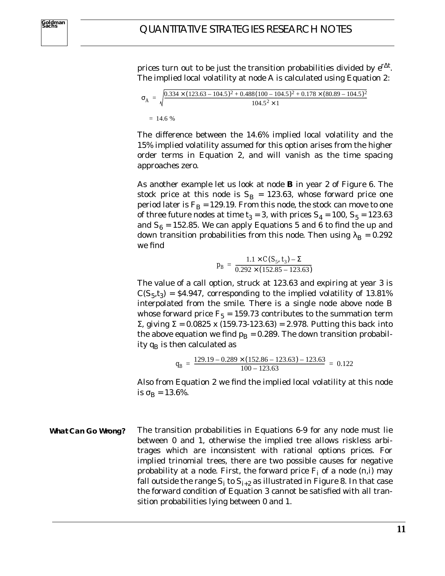**Goldman Sachs**

prices turn out to be just the transition probabilities divided by  $e^{t\Delta t}$ *.* The implied local volatility at node A is calculated using Equation 2:

$$
\sigma_A = \sqrt{\frac{0.334 \times (123.63 - 104.5)^2 + 0.488(100 - 104.5)^2 + 0.178 \times (80.89 - 104.5)^2}{104.5^2 \times 1}}
$$
  
= 14.6 %

The difference between the 14.6% implied local volatility and the 15% implied volatility assumed for this option arises from the higher order terms in Equation 2, and will vanish as the time spacing approaches zero.

As another example let us look at node **B** in year *2* of Figure 6. The stock price at this node is  $S_B = 123.63$ , whose forward price one period later is  $F_B = 129.19$ . From this node, the stock can move to one of three future nodes at time  $t_3 = 3$ , with prices  $S_4 = 100$ ,  $S_5 = 123.63$ and  $S_6 = 152.85$ . We can apply Equations 5 and 6 to find the up and down transition probabilities from this node. Then using  $\lambda_B = 0.292$ we find

$$
p_B = \frac{1.1 \times C(S_5, t_3) - \Sigma}{0.292 \times (152.85 - 123.63)}
$$

The value of a call option, struck at *123.63* and expiring at year *3* is  $C(S_5, t_3) = $4.947$ , corresponding to the implied volatility of 13.81% interpolated from the smile. There is a single node above node B whose forward price  $F_5 = 159.73$  contributes to the summation term Σ, giving Σ *= 0.0825 x (159.73-123.63) = 2.978.* Putting this back into the above equation we find  $p_B = 0.289$ . The down transition probability  $q_B$  is then calculated as

$$
q_B = \frac{129.19 - 0.289 \times (152.86 - 123.63) - 123.63}{100 - 123.63} = 0.122
$$

Also from Equation 2 we find the implied local volatility at this node is  $\sigma_B = 13.6\%$ .

The transition probabilities in Equations 6-9 for any node must lie between *0* and *1*, otherwise the implied tree allows riskless arbitrages which are inconsistent with rational options prices. For implied trinomial trees, there are two possible causes for negative probability at a node. First, the forward price  $F_i$  of a node  $(n,i)$  may fall outside the range  $S_i$  to  $S_{i+2}$  as illustrated in Figure 8. In that case the forward condition of Equation 3 cannot be satisfied with all transition probabilities lying between *0* and *1*. **What Can Go Wrong?**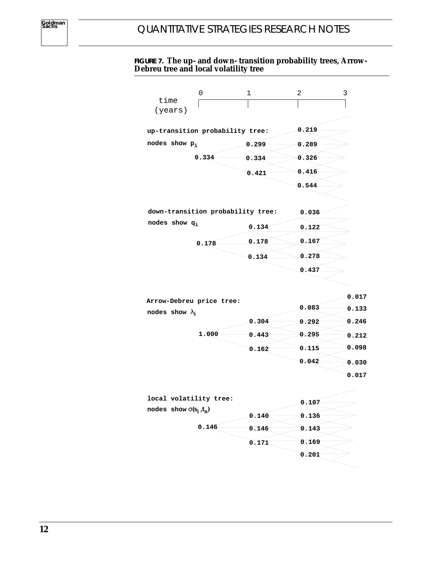#### **FIGURE 7. The up- and down- transition probability trees, Arrow-Debreu tree and local volatility tree**

|                                 | 0     | $\mathbf{1}$                      | 2     | 3 |
|---------------------------------|-------|-----------------------------------|-------|---|
| time<br>(years)                 |       |                                   |       |   |
| up-transition probability tree: |       |                                   | 0.219 |   |
| nodes show $p_i$                |       | 0.299                             | 0.289 |   |
|                                 | 0.334 | 0.334                             | 0.326 |   |
|                                 |       | 0.421                             | 0.416 |   |
|                                 |       |                                   | 0.544 |   |
|                                 |       |                                   |       |   |
|                                 |       | down-transition probability tree: | 0.036 |   |
| nodes show q <sub>i</sub>       |       | 0.134                             | 0.122 |   |
|                                 | 0.178 | 0.178                             | 0.167 |   |
|                                 |       | 0.134                             | 0.278 |   |
|                                 |       |                                   | 0.437 |   |

| Arrow-Debreu price tree: |       | 0.017 |       |
|--------------------------|-------|-------|-------|
| nodes show $\lambda_i$   |       | 0.083 | 0.133 |
|                          | 0.304 | 0.292 | 0.246 |
| 1.000                    | 0.443 | 0.295 | 0.212 |
|                          | 0.162 | 0.115 | 0.098 |
|                          |       | 0.042 | 0.030 |
|                          |       |       | 0.017 |

| local volatility tree:        |       | 0.107 |
|-------------------------------|-------|-------|
| nodes show $\sigma(s_i, t_n)$ | 0.140 | 0.136 |
| 0.146                         | 0.146 | 0.143 |
|                               | 0.171 | 0.169 |
|                               |       | 0.201 |
|                               |       |       |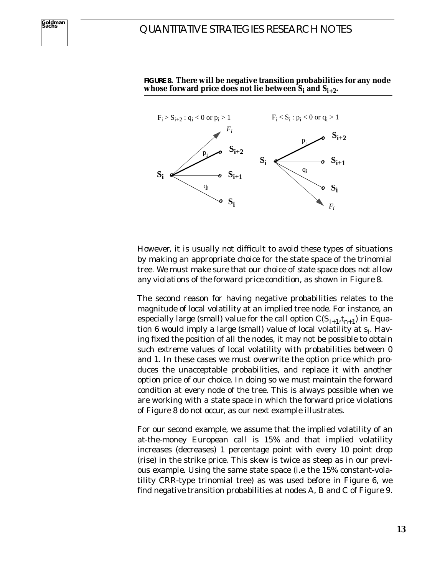

**FIGURE 8. There will be negative transition probabilities for any node** whose forward price does not lie between  $S_i$  and  $S_{i+2}$ .

However, it is usually not difficult to avoid these types of situations by making an appropriate choice for the state space of the trinomial tree. *We must make sure that our choice of state space does not allow any violations of the forward price condition, as shown in Figure 8*.

The second reason for having negative probabilities relates to the magnitude of local volatility at an implied tree node. For instance, an especially large (small) value for the call option  $C(S_{i+1}, t_{n+1})$  in Equation 6 would imply a large (small) value of local volatility at *si*. Having fixed the position of all the nodes, it may not be possible to obtain such extreme values of local volatility with probabilities between *0* and *1*. In these cases we must overwrite the option price which produces the unacceptable probabilities, and replace it with another option price of our choice. In doing so we must maintain the forward condition at every node of the tree. This is always possible when we are working with a state space in which the forward price violations of Figure 8 do not occur, as our next example illustrates.

For our second example, we assume that the implied volatility of an at-the-money European call is 15% and that implied volatility increases (decreases) 1 percentage point with every 10 point drop (rise) in the strike price. This skew is twice as steep as in our previous example. Using the same state space (i.e the 15% constant-volatility CRR-type trinomial tree) as was used before in Figure 6, we find negative transition probabilities at nodes A, B and C of Figure 9.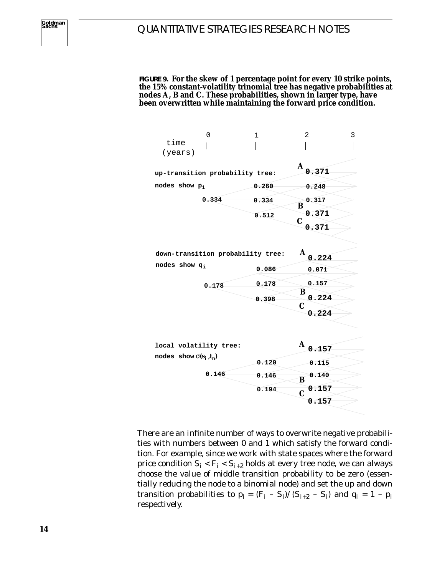**FIGURE 9. For the skew of 1 percentage point for every 10 strike points, the 15% constant-volatility trinomial tree has negative probabilities at nodes A, B and C. These probabilities, shown in larger type, have been overwritten while maintaining the forward price condition.**

| time<br>(years)               | 0                                 | 1     | $\overline{2}$            | 3 |
|-------------------------------|-----------------------------------|-------|---------------------------|---|
|                               | up-transition probability tree:   |       | A<br>0.371                |   |
| nodes show p <sub>i</sub>     |                                   | 0.260 | 0.248                     |   |
|                               | 0.334                             | 0.334 | 0.317<br>B                |   |
|                               |                                   | 0.512 | 0.371<br>C                |   |
|                               |                                   |       | 0.371                     |   |
|                               |                                   |       |                           |   |
|                               | down-transition probability tree: |       | A<br>0.224                |   |
| nodes show $q_i$              |                                   | 0.086 | 0.071                     |   |
|                               | 0.178                             | 0.178 | 0.157                     |   |
|                               |                                   | 0.398 | B<br>0.224<br>$\mathbf C$ |   |
|                               |                                   |       | 0.224                     |   |
|                               |                                   |       |                           |   |
| local volatility tree:        |                                   |       | $\mathbf A$<br>0.157      |   |
| nodes show $\sigma(s_i, t_n)$ |                                   | 0.120 | 0.115                     |   |
|                               | 0.146                             | 0.146 | 0.140<br>B                |   |
|                               |                                   | 0.194 | 0.157<br>$\overline{C}$   |   |
|                               |                                   |       | 0.157                     |   |

There are an infinite number of ways to overwrite negative probabilities with numbers between *0* and *1* which satisfy the forward condition. For example, since we work with state spaces where the forward price condition  $S_i < F_i < S_{i+2}$  holds at every tree node, we can always choose the value of middle transition probability to be zero (essentially reducing the node to a binomial node) and set the up and down transition probabilities to  $p_i = (F_i - S_i) / (S_{i+2} - S_i)$  and  $q_i = 1 - p_i$ respectively.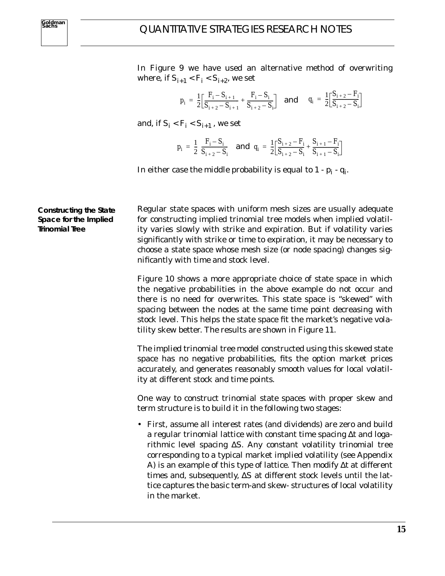In Figure 9 we have used an alternative method of overwriting where, if  $S_{i+1} < F_i < S_{i+2}$ , we set

$$
p_i = \frac{1}{2} \Big[ \frac{F_i - S_{i+1}}{S_{i+2} - S_{i+1}} + \frac{F_i - S_i}{S_{i+2} - S_i} \Big] \quad \text{and} \quad q_i = \frac{1}{2} \Big[ \frac{S_{i+2} - F_i}{S_{i+2} - S_i} \Big]
$$

and, if  $S_i < F_i < S_{i+1}$ , we set

$$
p_i = \frac{1}{2} \left( \frac{F_i - S_i}{S_{i+2} - S_i} \right) \text{ and } q_i = \frac{1}{2} \left[ \frac{S_{i+2} - F_i}{S_{i+2} - S_i} + \frac{S_{i+1} - F_i}{S_{i+1} - S_i} \right]
$$

In either case the middle probability is equal to  $1 - p_i - q_i$ .

**Constructing the State Space for the Implied Trinomial Tree**

Regular state spaces with uniform mesh sizes are usually adequate for constructing implied trinomial tree models when implied volatility varies slowly with strike and expiration. But if volatility varies significantly with strike or time to expiration, it may be necessary to choose a state space whose mesh size (or node spacing) changes significantly with time and stock level.

Figure 10 shows a more appropriate choice of state space in which the negative probabilities in the above example do not occur and there is no need for overwrites. This state space is "skewed" with spacing between the nodes at the same time point decreasing with stock level. This helps the state space fit the market's negative volatility skew better. The results are shown in Figure 11.

The implied trinomial tree model constructed using this skewed state space has no negative probabilities, fits the option market prices accurately, and generates reasonably smooth values for local volatility at different stock and time points.

One way to construct trinomial state spaces with proper skew and term structure is to build it in the following two stages:

• First, assume all interest rates (and dividends) are zero and build a regular trinomial lattice with constant time spacing ∆*t* and logarithmic level spacing ∆*S*. Any constant volatility trinomial tree corresponding to a typical market implied volatility (see Appendix A) is an example of this type of lattice. Then modify ∆*t* at different times and, subsequently, ∆*S* at different stock levels until the lattice captures the basic term-and skew- structures of local volatility in the market.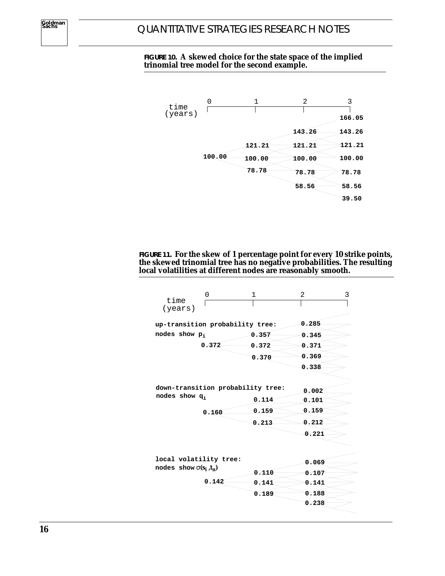#### **FIGURE 10. A skewed choice for the state space of the implied trinomial tree model for the second example.**



#### **FIGURE 11. For the skew of 1 percentage point for every 10 strike points, the skewed trinomial tree has no negative probabilities. The resulting local volatilities at different nodes are reasonably smooth.**

| time<br>(years)               | 0                                 | 1     | 2     | 3 |
|-------------------------------|-----------------------------------|-------|-------|---|
|                               | up-transition probability tree:   |       | 0.285 |   |
| nodes show p.                 |                                   | 0.357 | 0.345 |   |
|                               | 0.372                             | 0.372 | 0.371 |   |
|                               |                                   | 0.370 | 0.369 |   |
|                               |                                   |       | 0.338 |   |
|                               |                                   |       |       |   |
|                               | down-transition probability tree: |       | 0.002 |   |
| nodes show $q_i$              |                                   | 0.114 | 0.101 |   |
|                               | 0.160                             | 0.159 | 0.159 |   |
|                               |                                   | 0.213 | 0.212 |   |
|                               |                                   |       | 0.221 |   |
|                               |                                   |       |       |   |
|                               | local volatility tree:            |       | 0.069 |   |
| nodes show $\sigma(s_i, t_n)$ |                                   | 0.110 | 0.107 |   |
|                               | 0.142                             | 0.141 | 0.141 |   |
|                               |                                   | 0.189 | 0.188 |   |
|                               |                                   |       | 0.238 |   |
|                               |                                   |       |       |   |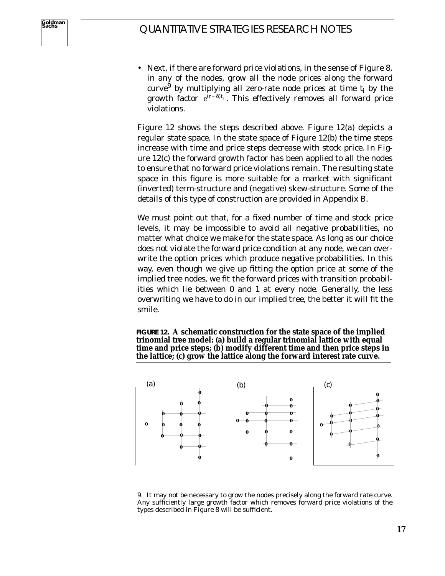• Next, if there are forward price violations, in the sense of Figure 8, in any of the nodes, grow all the node prices along the forward curve<sup>9</sup> by multiplying all zero-rate node prices at time  $t_i$  by the growth factor  $e^{(r-\delta)t_i}$ . This effectively removes all forward price violations.

Figure 12 shows the steps described above. Figure 12(a) depicts a regular state space. In the state space of Figure 12(b) the time steps increase with time and price steps decrease with stock price. In Figure 12(c) the forward growth factor has been applied to all the nodes to ensure that no forward price violations remain. The resulting state space in this figure is more suitable for a market with significant (inverted) term-structure and (negative) skew-structure. Some of the details of this type of construction are provided in Appendix B.

We must point out that, for a fixed number of time and stock price levels, it may be impossible to avoid all negative probabilities, no matter what choice we make for the state space. As long as our choice does not violate the forward price condition at any node, we can overwrite the option prices which produce negative probabilities. In this way, even though we give up fitting the option price at some of the implied tree nodes, we fit the forward prices with transition probabilities which lie between  $\theta$  and  $\theta$  at every node. Generally, the less overwriting we have to do in our implied tree, the better it will fit the smile.

**FIGURE 12. A schematic construction for the state space of the implied trinomial tree model: (a) build a regular trinomial lattice with equal time and price steps; (b) modify different time and then price steps in the lattice; (c) grow the lattice along the forward interest rate curve.**



<sup>9.</sup> It may not be necessary to grow the nodes precisely along the forward rate curve. Any sufficiently large growth factor which removes forward price violations of the types described in Figure 8 will be sufficient.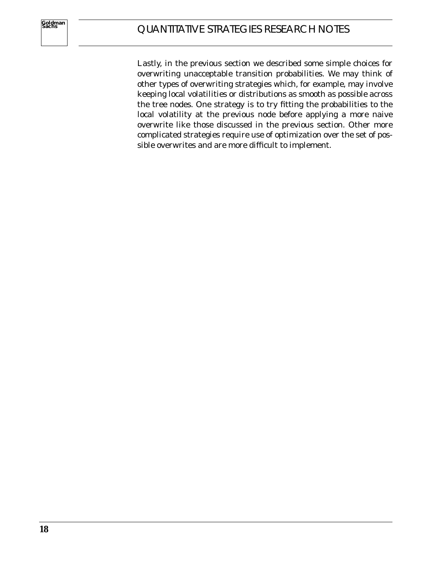Lastly, in the previous section we described some simple choices for overwriting unacceptable transition probabilities. We may think of other types of overwriting strategies which, for example, may involve keeping local volatilities or distributions as smooth as possible across the tree nodes. One strategy is to try fitting the probabilities to the local volatility at the previous node before applying a more naive overwrite like those discussed in the previous section. Other more complicated strategies require use of optimization over the set of possible overwrites and are more difficult to implement.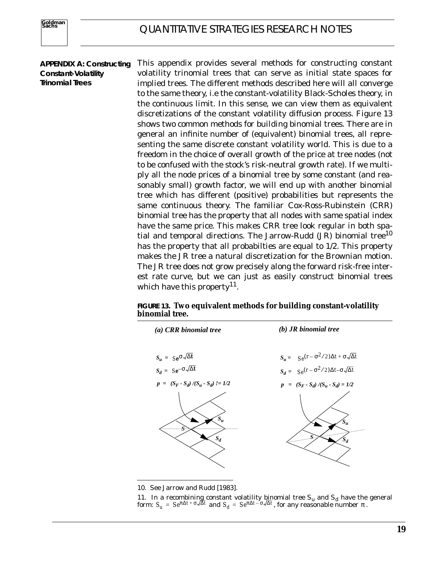#### **APPENDIX A: Constructing Constant-Volatility Trinomial Trees**

This appendix provides several methods for constructing constant volatility trinomial trees that can serve as initial state spaces for implied trees. The different methods described here will all converge to the same theory, i.e the constant-volatility Black-Scholes theory, in the continuous limit. In this sense, we can view them as equivalent discretizations of the constant volatility diffusion process. Figure 13 shows two common methods for building binomial trees. There are in general an infinite number of (equivalent) binomial trees, all representing the same discrete constant volatility world. This is due to a freedom in the choice of overall growth of the price at tree nodes (not to be confused with the stock's risk-neutral growth rate). If we multiply all the node prices of a binomial tree by some constant (and reasonably small) growth factor, we will end up with another binomial tree which has different (positive) probabilities but represents the same continuous theory. The familiar Cox-Ross-Rubinstein (CRR) binomial tree has the property that all nodes with same spatial index have the same price. This makes CRR tree look regular in both spatial and temporal directions. The Jarrow-Rudd  $(JR)$  binomial tree<sup>10</sup> has the property that all probabilties are equal to 1/2. This property makes the JR tree a natural discretization for the Brownian motion. The JR tree does not grow precisely along the forward risk-free interest rate curve, but we can just as easily construct binomial trees which have this property<sup>11</sup>.

**FIGURE 13. Two equivalent methods for building constant-volatility binomial tree.**



10. See Jarrow and Rudd [1983].

<sup>11.</sup> In a recombining constant volatility binomial tree  $S_u$  and  $S_d$  have the general form:  $S_u = S e^{\pi \Delta t + \sigma \sqrt{\Delta} t}$  and  $S_d = S e^{\pi \Delta t - \sigma \sqrt{\Delta} t}$ , for any reasonable number  $\pi$ .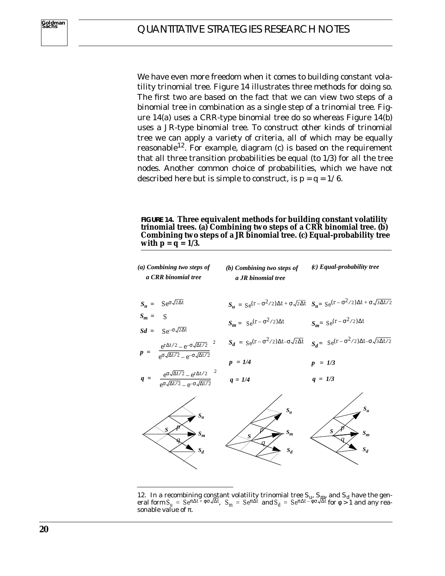We have even more freedom when it comes to building constant volatility trinomial tree. Figure 14 illustrates three methods for doing so. The first two are based on the fact that we can view two steps of a binomial tree in combination as a single step of a trinomial tree. Figure 14(a) uses a CRR-type binomial tree do so whereas Figure 14(b) uses a JR-type binomial tree. To construct other kinds of trinomial tree we can apply a variety of criteria, all of which may be equally reasonable<sup>12</sup>. For example, diagram (c) is based on the requirement that all three transition probabilities be equal (to 1/3) for all the tree nodes. Another common choice of probabilities, which we have not described here but is simple to construct, is *p = q = 1/6*.

**FIGURE 14. Three equivalent methods for building constant volatility trinomial trees. (a) Combining two steps of a CRR binomial tree. (b) Combining two steps of a JR binomial tree. (c) Equal-probability tree with**  $p = q = 1/3$ **.** 

| (a) Combining two steps of<br>a CRR binomial tree                                                                                           | $(b)$ Combining two steps of<br>a JR binomial tree | $(c)$ Equal-probability tree                                                                                                |
|---------------------------------------------------------------------------------------------------------------------------------------------|----------------------------------------------------|-----------------------------------------------------------------------------------------------------------------------------|
| $S_u = S e^{\sigma \sqrt{2\Delta t}}$                                                                                                       |                                                    | $S_u = S_e(r - \sigma^2/2)\Delta t + \sigma\sqrt{2\Delta t}$ $S_u = S_e(r - \sigma^2/2)\Delta t + \sigma\sqrt{3\Delta t/2}$ |
| $S_m = S$<br>$Sd = S e^{-\sigma \sqrt{2\Delta t}}$                                                                                          | $S_m = S_e(r - \sigma^2/2)\Delta t$                | $S_m = Se^{(r - \sigma^2/2)\Delta t}$                                                                                       |
| $p = \left( \frac{e^{r\Delta t/2} - e^{-\sigma\sqrt{\Delta t/2}}}{e^{\sigma\sqrt{\Delta t/2}} - e^{-\sigma\sqrt{\Delta t/2}}} \right)^2$    |                                                    | $S_d = S_e(r - \sigma^2/2)\Delta t - \sigma\sqrt{2\Delta t}$ $S_d = S_e(r - \sigma^2/2)\Delta t - \sigma\sqrt{3\Delta t/2}$ |
|                                                                                                                                             | $p = 1/4$                                          | $p = 1/3$                                                                                                                   |
| $q = \left( \frac{e^{\sigma \sqrt{\Delta t/2}} - e^{r \Delta t/2}}{e^{\sigma \sqrt{\Delta t/2}} - e^{-\sigma \sqrt{\Delta t/2}}} \right)^2$ | $q = 1/4$                                          | $q = 1/3$                                                                                                                   |
| $S_u$<br>S<br>$S_m$<br>$S_d$                                                                                                                | $S_u$<br>$S_m$<br>$\mathbf{S}$<br>$S_d$            | $\boldsymbol{S}$<br>$S_m$<br>$S_d$                                                                                          |

<sup>12.</sup> In a recombining constant volatility trinomial tree  $S_u$ ,  $S_{\mu\nu}$  and  $S_d$  have the gen- $\int_{\mathcal{L}} \mathbf{S}_{\mu} = \int_{\mathcal{L}} e^{\pi \Delta t + \phi \sigma \sqrt{\Delta t}}, \quad \mathbf{S}_{m} = S e^{\pi \Delta t} \text{ and } \mathbf{S}_{d} = S e^{\pi \Delta t - \phi \sigma \sqrt{\Delta t}} \text{ for } \phi > 1 \text{ and any real$ sonable value of  $\pi$ .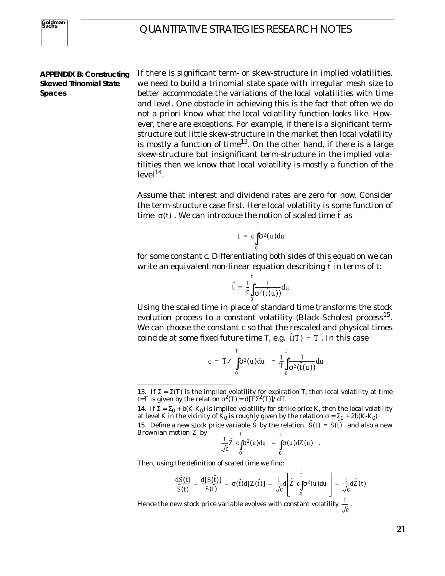#### **APPENDIX B: Constructing Skewed Trinomial State Spaces**

If there is significant term- or skew-structure in implied volatilities, we need to build a trinomial state space with irregular mesh size to better accommodate the variations of the local volatilities with time and level. One obstacle in achieving this is the fact that often we do not *a priori* know what the local volatility function looks like. However, there are exceptions. For example, if there is a significant termstructure but little skew-structure in the market then local volatility is mostly a function of time<sup>13</sup>. On the other hand, if there is a large skew-structure but insignificant term-structure in the implied volatilities then we know that local volatility is mostly a function of the  $level<sup>14</sup>$ .

Assume that interest and dividend rates are zero for now. Consider the term-structure case first. Here local volatility is some function of time  $\sigma(t)$  . We can introduce the notion of scaled time  $\tilde{t}$  as

$$
t = c \int_{0}^{\tilde{t}} \sigma^2(u) du
$$

for some constant *c*. Differentiating both sides of this equation we can write an equivalent non-linear equation describing  $\tilde{t}$  in terms of t:

$$
\tilde{t} = \frac{1}{c} \int_{0}^{t} \frac{1}{\sigma^2(\tilde{t}(u))} du
$$

Using the scaled time in place of standard time transforms the stock evolution process to a constant volatility (Black-Scholes) process<sup>15</sup>. We can choose the constant *c* so that the rescaled and physical times coincide at some fixed future time *T*, e.g.  $\tilde{t}(T) = T$  . In this case

$$
c = T/\left(\int_0^T \sigma^2(u) du\right) = \frac{1}{T}\int_0^T \frac{1}{\sigma^2(\tilde{t}(u))} du
$$

$$
\frac{1}{\sqrt{c}}\tilde{Z}\left(c\int_{0}^{\cdot}\sigma^{2}(u)du\right)=\int_{0}^{\cdot}\sigma(u)dZ(u) .
$$

Then, using the definition of scaled time we find:

$$
\frac{d\tilde{S}(t)}{\tilde{S}(t)} = \frac{d[S(\tilde{t})]}{S(\tilde{t})} = \sigma(\tilde{t})d[Z(\tilde{t})] = \frac{1}{\sqrt{c}}d\left[\tilde{Z}\left(c\int_{0}^{\tilde{t}}\sigma^{2}(u)du\right)\right] = \frac{1}{\sqrt{c}}d\tilde{Z}(t)
$$

Hence the new stock price variable evolves with constant volatility  $\frac{1}{\tau}$  .  $\frac{1}{\sqrt{c}}$ 

<sup>13.</sup> If Σ = Σ*(T)* is the implied volatility for expiration *T*, then local volatility at time  $t = T$  is given by the relation  $\sigma^2(T) = d(T\Sigma^2(T))/dT$ .

<sup>14.</sup> If  $\Sigma = \Sigma_0 + b(K-K_0)$  is implied volatility for strike price *K*, then the local volatility at level *K* in the vicinity of  $K_0$  is roughly given by the relation  $\sigma = \Sigma_0 + 2b(K-K_0)$ 

<sup>15.</sup> Define a new stock price variable  $\tilde{S}$  by the relation  $\tilde{S}(t) = S(\tilde{t})$  and also a new Brownian motion  $\tilde{Z}$  by *t t*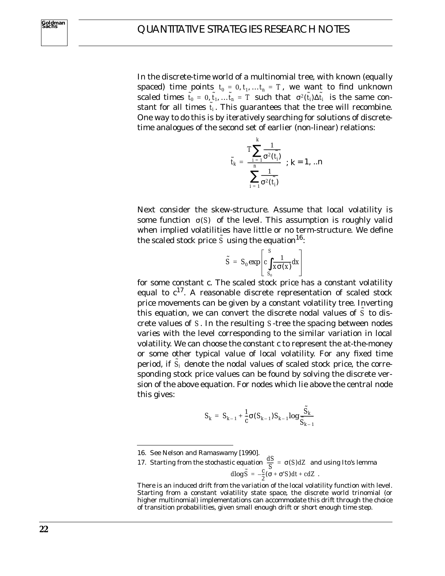In the discrete-time world of a multinomial tree, with known (equally spaced) time points  $t_0 = 0, t_1, ... t_n = T$ , we want to find unknown scaled times  $\tilde{t}_0 = 0, \tilde{t}_1, ... \tilde{t}_n = T$  such that  $\sigma^2(\tilde{t}_i) \Delta \tilde{t}_i$  is the same constant for all times  $\tilde{t}_i$ . This guarantees that the tree will recombine. One way to do this is by iteratively searching for solutions of discretetime analogues of the second set of earlier (non-linear) relations:

$$
\tilde{t}_k = \frac{T \sum_{i=1}^k \frac{1}{\sigma^2(\tilde{t}_i)}}{\sum_{i=1}^n \frac{1}{\sigma^2(\tilde{t}_i)}} \quad ; k = 1, ...n
$$

Next consider the skew-structure. Assume that local volatility is some function  $\sigma(S)$  of the level. This assumption is roughly valid when implied volatilities have little or no term-structure. We define the scaled stock price  $\tilde{S}$  using the equation<sup>16</sup>:

$$
\tilde{S} = S_0 \exp \left[ c \int_{S_0}^{S} \frac{1}{x \sigma(x)} dx \right]
$$

for some constant *c*. The scaled stock price has a constant volatility equal to  $c^{17}$ . A reasonable discrete representation of scaled stock price movements can be given by a constant volatility tree. Inverting this equation, we can convert the discrete nodal values of  $\tilde{S}$  to discrete values of S. In the resulting S-tree the spacing between nodes varies with the level corresponding to the similar variation in local volatility. We can choose the constant *c* to represent the at-the-money or some other typical value of local volatility. For any fixed time period, if  $\tilde{S}_i$  denote the nodal values of scaled stock price, the corresponding stock price values can be found by solving the discrete version of the above equation. For nodes which lie above the central node this gives:

$$
S_k = S_{k-1} + \frac{1}{c} \sigma(S_{k-1}) S_{k-1} \log \frac{S_k}{S_{k-1}}
$$

<sup>16.</sup> See Nelson and Ramaswamy [1990].

<sup>17.</sup> Starting from the stochastic equation  $\frac{dS}{dS} = \sigma(S) dZ$  and using Ito's lemma  $d\log \tilde{S} = -\frac{c}{2} (\sigma + \sigma' S) dt + cdZ$ .  $\frac{dD}{S} = \sigma(S) dZ$ 

There is an induced drift from the variation of the local volatility function with level. Starting from a constant volatility state space, the discrete world trinomial (or higher multinomial) implementations can accommodate this drift through the choice of transition probabilities, given small enough drift or short enough time step.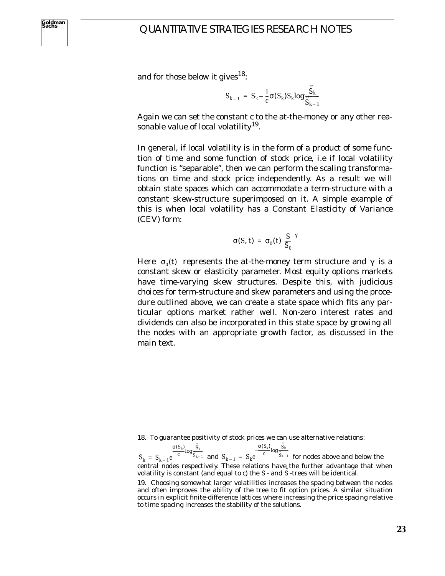and for those below it gives<sup>18</sup>:

$$
S_{k-1} = S_k - \frac{1}{c} \sigma(S_k) S_k \log \frac{S_k}{S_{k-1}}
$$

Again we can set the constant *c* to the at-the-money or any other reasonable value of local volatility<sup>19</sup>.

In general, if local volatility is in the form of a product of some function of time and some function of stock price, i.e if local volatility function is "separable", then we can perform the scaling transformations on time and stock price independently. As a result we will obtain state spaces which can accommodate a term-structure with a constant skew-structure superimposed on it. A simple example of this is when local volatility has a Constant Elasticity of Variance (CEV) form:

$$
\sigma(S, t) = \sigma_0(t) \left(\frac{S}{S_0}\right)^n
$$

Here  $\sigma_0(t)$  represents the at-the-money term structure and  $\gamma$  is a constant skew or elasticity parameter. Most equity options markets have time-varying skew structures. Despite this, with judicious choices for term-structure and skew parameters and using the procedure outlined above, we can create a state space which fits any particular options market rather well. Non-zero interest rates and dividends can also be incorporated in this state space by growing all the nodes with an appropriate growth factor, as discussed in the main text.

<sup>18.</sup> To guarantee positivity of stock prices we can use alternative relations:

 $S_k = S_{k-1}e^{-C}$   $S_{k-1}$  and  $S_{k-1} = S_k e^{-C}$   $S_{k-1}$  for nodes above and below the central nodes respectively. These relations have the further advantage that when volatility is constant (and equal to *c*) the  $S$ - and  $\tilde{S}$ -trees will be identical.  $\frac{\sigma(S_k)}{c}$  log  $\frac{\tilde{S}_k}{\tilde{S}_{k-1}}$  $S_{k-1}e^{-\frac{C_{k}K}{C_{k-1}}}\text{ and }S_{k-1}=S_{k}e^{-\frac{C_{k}K_{k-1}}{C_{k-1}}}\text{ and }S_{k-1}=S_{k}e^{-\frac{C_{k}K_{k-1}}{C_{k-1}}}\text{ and }S_{k-1}=S_{k}e^{-\frac{C_{k}K_{k-1}}{C_{k-1}}}\text{ and }S_{k-1}=S_{k}e^{-\frac{C_{k}K_{k-1}}{C_{k-1}}}\text{ and }S_{k-1}=S_{k}e^{-\frac{C_{k}K_{k-1}}{C_{k-1}}}\text{ and }S_{k-1}=S$  $\frac{\sigma(S_k)}{c}$ log $\frac{\tilde{S}_k}{\tilde{S}_k}$  $S_k e^{-\frac{S_k K}{c}} \log \frac{S_k}{S_{k-1}}$ 

<sup>19.</sup> Choosing somewhat larger volatilities increases the spacing between the nodes and often improves the ability of the tree to fit option prices. A similar situation occurs in explicit finite-difference lattices where increasing the price spacing relative to time spacing increases the stability of the solutions.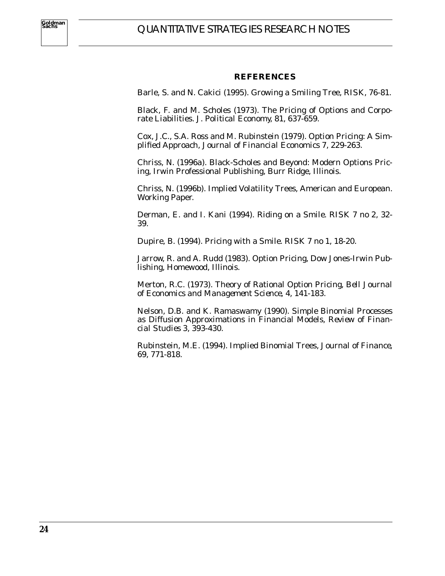#### **REFERENCES**

Barle, S. and N. Cakici (1995). Growing a Smiling Tree, *RISK*, 76-81.

Black, F. and M. Scholes (1973). The Pricing of Options and Corporate Liabilities. *J. Political Economy*, 81, 637-659.

Cox, J.C., S.A. Ross and M. Rubinstein (1979). Option Pricing: A Simplified Approach*, Journal of Financial Economics* 7, 229-263.

Chriss, N. (1996a). Black-Scholes and Beyond: Modern Options Pricing, Irwin Professional Publishing, Burr Ridge, Illinois.

Chriss, N. (1996b). Implied Volatility Trees, American and European. Working Paper.

Derman, E. and I. Kani (1994). Riding on a Smile*. RISK 7 no 2,* 32- 39.

Dupire, B. (1994). Pricing with a Smile*. RISK 7 no 1*, 18-20.

Jarrow, R. and A. Rudd (1983). Option Pricing, Dow Jones-Irwin Publishing, Homewood, Illinois.

Merton, R.C. (1973). Theory of Rational Option Pricing*, Bell Journal of Economics and Management Science*, 4, 141-183.

Nelson, D.B. and K. Ramaswamy (1990). Simple Binomial Processes as Diffusion Approximations in Financial Models, *Review of Financial Studies* 3, 393-430.

Rubinstein, M.E. (1994). Implied Binomial Trees, *Journal of Finance*, 69, 771-818.